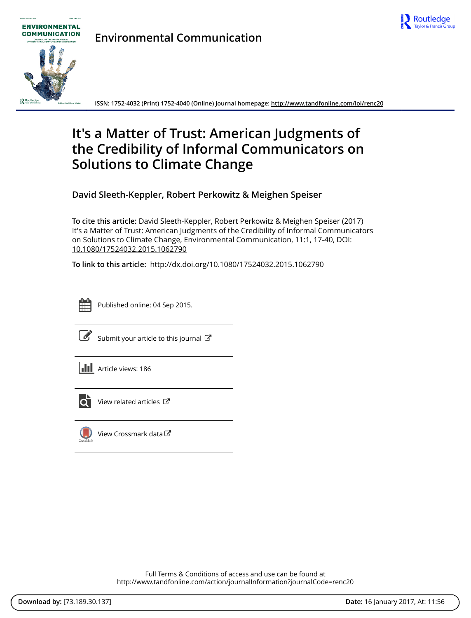



**Environmental Communication**

**ISSN: 1752-4032 (Print) 1752-4040 (Online) Journal homepage:<http://www.tandfonline.com/loi/renc20>**

## **It's a Matter of Trust: American Judgments of the Credibility of Informal Communicators on Solutions to Climate Change**

**David Sleeth-Keppler, Robert Perkowitz & Meighen Speiser**

**To cite this article:** David Sleeth-Keppler, Robert Perkowitz & Meighen Speiser (2017) It's a Matter of Trust: American Judgments of the Credibility of Informal Communicators on Solutions to Climate Change, Environmental Communication, 11:1, 17-40, DOI: [10.1080/17524032.2015.1062790](http://www.tandfonline.com/action/showCitFormats?doi=10.1080/17524032.2015.1062790)

**To link to this article:** <http://dx.doi.org/10.1080/17524032.2015.1062790>



Published online: 04 Sep 2015.

|--|

[Submit your article to this journal](http://www.tandfonline.com/action/authorSubmission?journalCode=renc20&show=instructions)  $\mathbb{Z}$ 

| <b>III</b> Article views: 186 |  |
|-------------------------------|--|
|                               |  |



 $\overrightarrow{O}$  [View related articles](http://www.tandfonline.com/doi/mlt/10.1080/17524032.2015.1062790)  $\overrightarrow{C}$ 



[View Crossmark data](http://crossmark.crossref.org/dialog/?doi=10.1080/17524032.2015.1062790&domain=pdf&date_stamp=2015-09-04)

Full Terms & Conditions of access and use can be found at <http://www.tandfonline.com/action/journalInformation?journalCode=renc20>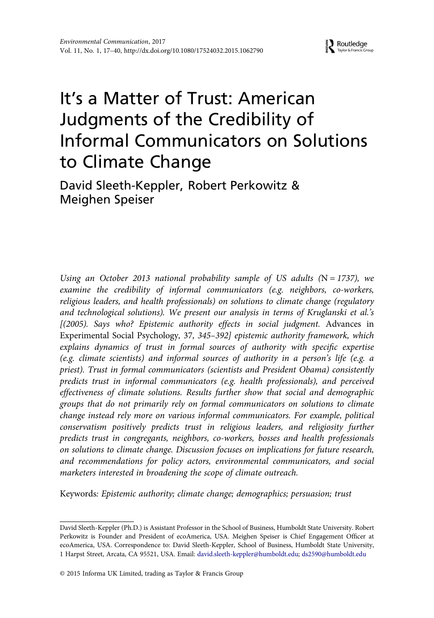# It's a Matter of Trust: American Judgments of the Credibility of Informal Communicators on Solutions to Climate Change

David Sleeth-Keppler, Robert Perkowitz & Meighen Speiser

Using an October 2013 national probability sample of US adults  $(N = 1737)$ , we examine the credibility of informal communicators (e.g. neighbors, co-workers, religious leaders, and health professionals) on solutions to climate change (regulatory and technological solutions). We present our analysis in terms of Kruglanski et al.'s [(2005). Says who? Epistemic authority effects in social judgment. Advances in Experimental Social Psychology, 37, 345–392] epistemic authority framework, which explains dynamics of trust in formal sources of authority with specific expertise (e.g. climate scientists) and informal sources of authority in a person's life (e.g. a priest). Trust in formal communicators (scientists and President Obama) consistently predicts trust in informal communicators (e.g. health professionals), and perceived effectiveness of climate solutions. Results further show that social and demographic groups that do not primarily rely on formal communicators on solutions to climate change instead rely more on various informal communicators. For example, political conservatism positively predicts trust in religious leaders, and religiosity further predicts trust in congregants, neighbors, co-workers, bosses and health professionals on solutions to climate change. Discussion focuses on implications for future research, and recommendations for policy actors, environmental communicators, and social marketers interested in broadening the scope of climate outreach.

Keywords: Epistemic authority; climate change; demographics; persuasion; trust

David Sleeth-Keppler (Ph.D.) is Assistant Professor in the School of Business, Humboldt State University. Robert Perkowitz is Founder and President of ecoAmerica, USA. Meighen Speiser is Chief Engagement Officer at ecoAmerica, USA. Correspondence to: David Sleeth-Keppler, School of Business, Humboldt State University, 1 Harpst Street, Arcata, CA 95521, USA. Email: [david.sleeth-keppler@humboldt.edu](mailto:david.sleeth-keppler@humboldt.edu); [ds2590@humboldt.edu](mailto:ds2590@humboldt.edu)

<sup>© 2015</sup> Informa UK Limited, trading as Taylor & Francis Group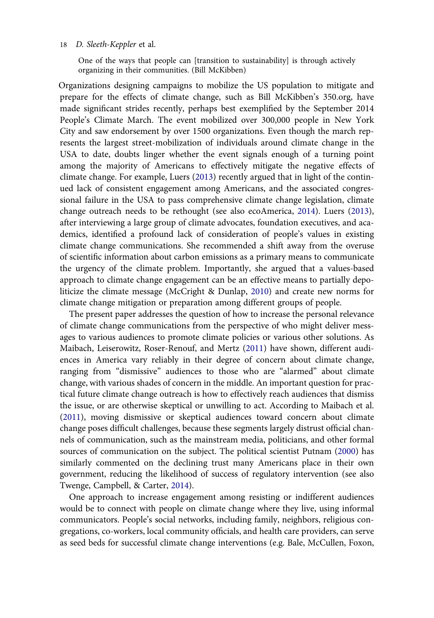One of the ways that people can [transition to sustainability] is through actively organizing in their communities. (Bill McKibben)

Organizations designing campaigns to mobilize the US population to mitigate and prepare for the effects of climate change, such as Bill McKibben's 350.org, have made significant strides recently, perhaps best exemplified by the September 2014 People's Climate March. The event mobilized over 300,000 people in New York City and saw endorsement by over 1500 organizations. Even though the march represents the largest street-mobilization of individuals around climate change in the USA to date, doubts linger whether the event signals enough of a turning point among the majority of Americans to effectively mitigate the negative effects of climate change. For example, Luers [\(2013](#page-23-0)) recently argued that in light of the continued lack of consistent engagement among Americans, and the associated congressional failure in the USA to pass comprehensive climate change legislation, climate change outreach needs to be rethought (see also ecoAmerica, [2014](#page-22-0)). Luers [\(2013](#page-23-0)), after interviewing a large group of climate advocates, foundation executives, and academics, identified a profound lack of consideration of people's values in existing climate change communications. She recommended a shift away from the overuse of scientific information about carbon emissions as a primary means to communicate the urgency of the climate problem. Importantly, she argued that a values-based approach to climate change engagement can be an effective means to partially depoliticize the climate message (McCright & Dunlap, [2010](#page-23-0)) and create new norms for climate change mitigation or preparation among different groups of people.

The present paper addresses the question of how to increase the personal relevance of climate change communications from the perspective of who might deliver messages to various audiences to promote climate policies or various other solutions. As Maibach, Leiserowitz, Roser-Renouf, and Mertz ([2011\)](#page-23-0) have shown, different audiences in America vary reliably in their degree of concern about climate change, ranging from "dismissive" audiences to those who are "alarmed" about climate change, with various shades of concern in the middle. An important question for practical future climate change outreach is how to effectively reach audiences that dismiss the issue, or are otherwise skeptical or unwilling to act. According to Maibach et al. ([2011\)](#page-23-0), moving dismissive or skeptical audiences toward concern about climate change poses difficult challenges, because these segments largely distrust official channels of communication, such as the mainstream media, politicians, and other formal sources of communication on the subject. The political scientist Putnam [\(2000](#page-23-0)) has similarly commented on the declining trust many Americans place in their own government, reducing the likelihood of success of regulatory intervention (see also Twenge, Campbell, & Carter, [2014\)](#page-23-0).

One approach to increase engagement among resisting or indifferent audiences would be to connect with people on climate change where they live, using informal communicators. People's social networks, including family, neighbors, religious congregations, co-workers, local community officials, and health care providers, can serve as seed beds for successful climate change interventions (e.g. Bale, McCullen, Foxon,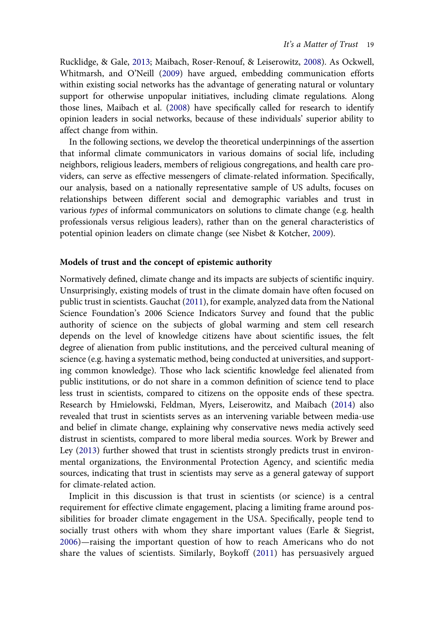Rucklidge, & Gale, [2013;](#page-21-0) Maibach, Roser-Renouf, & Leiserowitz, [2008](#page-23-0)). As Ockwell, Whitmarsh, and O'Neill [\(2009](#page-23-0)) have argued, embedding communication efforts within existing social networks has the advantage of generating natural or voluntary support for otherwise unpopular initiatives, including climate regulations. Along those lines, Maibach et al. [\(2008](#page-23-0)) have specifically called for research to identify opinion leaders in social networks, because of these individuals' superior ability to affect change from within.

In the following sections, we develop the theoretical underpinnings of the assertion that informal climate communicators in various domains of social life, including neighbors, religious leaders, members of religious congregations, and health care providers, can serve as effective messengers of climate-related information. Specifically, our analysis, based on a nationally representative sample of US adults, focuses on relationships between different social and demographic variables and trust in various types of informal communicators on solutions to climate change (e.g. health professionals versus religious leaders), rather than on the general characteristics of potential opinion leaders on climate change (see Nisbet & Kotcher, [2009](#page-23-0)).

#### Models of trust and the concept of epistemic authority

Normatively defined, climate change and its impacts are subjects of scientific inquiry. Unsurprisingly, existing models of trust in the climate domain have often focused on public trust in scientists. Gauchat ([2011](#page-22-0)), for example, analyzed data from the National Science Foundation's 2006 Science Indicators Survey and found that the public authority of science on the subjects of global warming and stem cell research depends on the level of knowledge citizens have about scientific issues, the felt degree of alienation from public institutions, and the perceived cultural meaning of science (e.g. having a systematic method, being conducted at universities, and supporting common knowledge). Those who lack scientific knowledge feel alienated from public institutions, or do not share in a common definition of science tend to place less trust in scientists, compared to citizens on the opposite ends of these spectra. Research by Hmielowski, Feldman, Myers, Leiserowitz, and Maibach [\(2014](#page-22-0)) also revealed that trust in scientists serves as an intervening variable between media-use and belief in climate change, explaining why conservative news media actively seed distrust in scientists, compared to more liberal media sources. Work by Brewer and Ley ([2013\)](#page-21-0) further showed that trust in scientists strongly predicts trust in environmental organizations, the Environmental Protection Agency, and scientific media sources, indicating that trust in scientists may serve as a general gateway of support for climate-related action.

Implicit in this discussion is that trust in scientists (or science) is a central requirement for effective climate engagement, placing a limiting frame around possibilities for broader climate engagement in the USA. Specifically, people tend to socially trust others with whom they share important values (Earle & Siegrist, [2006\)](#page-21-0)—raising the important question of how to reach Americans who do not share the values of scientists. Similarly, Boykoff [\(2011\)](#page-21-0) has persuasively argued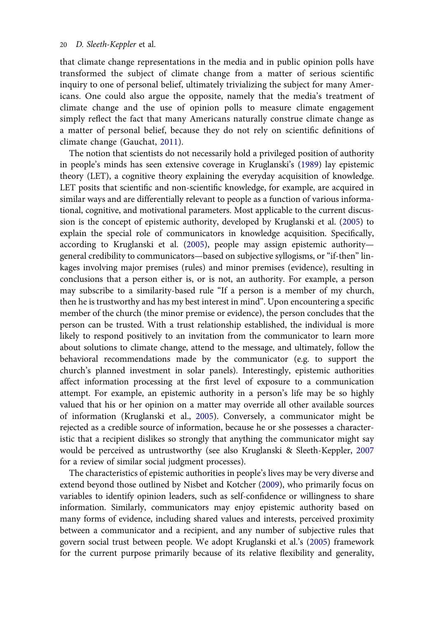that climate change representations in the media and in public opinion polls have transformed the subject of climate change from a matter of serious scientific inquiry to one of personal belief, ultimately trivializing the subject for many Americans. One could also argue the opposite, namely that the media's treatment of climate change and the use of opinion polls to measure climate engagement simply reflect the fact that many Americans naturally construe climate change as a matter of personal belief, because they do not rely on scientific definitions of climate change (Gauchat, [2011\)](#page-22-0).

The notion that scientists do not necessarily hold a privileged position of authority in people's minds has seen extensive coverage in Kruglanski's [\(1989](#page-22-0)) lay epistemic theory (LET), a cognitive theory explaining the everyday acquisition of knowledge. LET posits that scientific and non-scientific knowledge, for example, are acquired in similar ways and are differentially relevant to people as a function of various informational, cognitive, and motivational parameters. Most applicable to the current discussion is the concept of epistemic authority, developed by Kruglanski et al. [\(2005](#page-22-0)) to explain the special role of communicators in knowledge acquisition. Specifically, according to Kruglanski et al. [\(2005](#page-22-0)), people may assign epistemic authority general credibility to communicators—based on subjective syllogisms, or "if-then" linkages involving major premises (rules) and minor premises (evidence), resulting in conclusions that a person either is, or is not, an authority. For example, a person may subscribe to a similarity-based rule "If a person is a member of my church, then he is trustworthy and has my best interest in mind". Upon encountering a specific member of the church (the minor premise or evidence), the person concludes that the person can be trusted. With a trust relationship established, the individual is more likely to respond positively to an invitation from the communicator to learn more about solutions to climate change, attend to the message, and ultimately, follow the behavioral recommendations made by the communicator (e.g. to support the church's planned investment in solar panels). Interestingly, epistemic authorities affect information processing at the first level of exposure to a communication attempt. For example, an epistemic authority in a person's life may be so highly valued that his or her opinion on a matter may override all other available sources of information (Kruglanski et al., [2005\)](#page-22-0). Conversely, a communicator might be rejected as a credible source of information, because he or she possesses a characteristic that a recipient dislikes so strongly that anything the communicator might say would be perceived as untrustworthy (see also Kruglanski & Sleeth-Keppler, [2007](#page-22-0) for a review of similar social judgment processes).

The characteristics of epistemic authorities in people's lives may be very diverse and extend beyond those outlined by Nisbet and Kotcher [\(2009\)](#page-23-0), who primarily focus on variables to identify opinion leaders, such as self-confidence or willingness to share information. Similarly, communicators may enjoy epistemic authority based on many forms of evidence, including shared values and interests, perceived proximity between a communicator and a recipient, and any number of subjective rules that govern social trust between people. We adopt Kruglanski et al.'s [\(2005](#page-22-0)) framework for the current purpose primarily because of its relative flexibility and generality,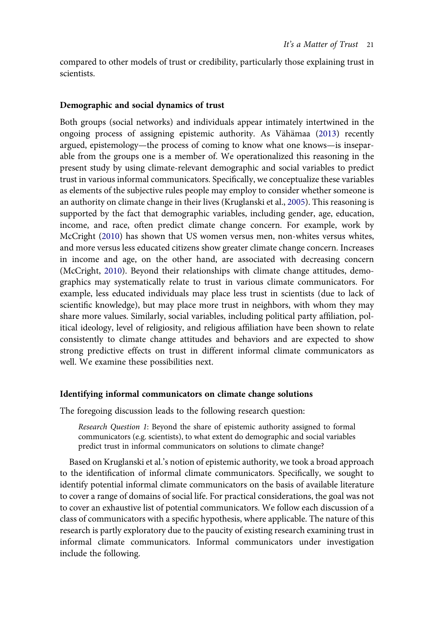compared to other models of trust or credibility, particularly those explaining trust in scientists.

### Demographic and social dynamics of trust

Both groups (social networks) and individuals appear intimately intertwined in the ongoing process of assigning epistemic authority. As Vähämaa [\(2013](#page-23-0)) recently argued, epistemology—the process of coming to know what one knows—is inseparable from the groups one is a member of. We operationalized this reasoning in the present study by using climate-relevant demographic and social variables to predict trust in various informal communicators. Specifically, we conceptualize these variables as elements of the subjective rules people may employ to consider whether someone is an authority on climate change in their lives (Kruglanski et al., [2005\)](#page-22-0). This reasoning is supported by the fact that demographic variables, including gender, age, education, income, and race, often predict climate change concern. For example, work by McCright ([2010\)](#page-23-0) has shown that US women versus men, non-whites versus whites, and more versus less educated citizens show greater climate change concern. Increases in income and age, on the other hand, are associated with decreasing concern (McCright, [2010\)](#page-23-0). Beyond their relationships with climate change attitudes, demographics may systematically relate to trust in various climate communicators. For example, less educated individuals may place less trust in scientists (due to lack of scientific knowledge), but may place more trust in neighbors, with whom they may share more values. Similarly, social variables, including political party affiliation, political ideology, level of religiosity, and religious affiliation have been shown to relate consistently to climate change attitudes and behaviors and are expected to show strong predictive effects on trust in different informal climate communicators as well. We examine these possibilities next.

#### Identifying informal communicators on climate change solutions

The foregoing discussion leads to the following research question:

Research Question 1: Beyond the share of epistemic authority assigned to formal communicators (e.g. scientists), to what extent do demographic and social variables predict trust in informal communicators on solutions to climate change?

Based on Kruglanski et al.'s notion of epistemic authority, we took a broad approach to the identification of informal climate communicators. Specifically, we sought to identify potential informal climate communicators on the basis of available literature to cover a range of domains of social life. For practical considerations, the goal was not to cover an exhaustive list of potential communicators. We follow each discussion of a class of communicators with a specific hypothesis, where applicable. The nature of this research is partly exploratory due to the paucity of existing research examining trust in informal climate communicators. Informal communicators under investigation include the following.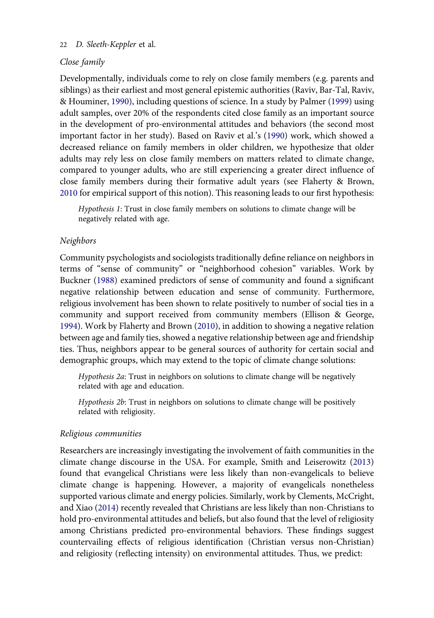## Close family

Developmentally, individuals come to rely on close family members (e.g. parents and siblings) as their earliest and most general epistemic authorities (Raviv, Bar-Tal, Raviv, & Houminer, [1990\)](#page-23-0), including questions of science. In a study by Palmer ([1999\)](#page-23-0) using adult samples, over 20% of the respondents cited close family as an important source in the development of pro-environmental attitudes and behaviors (the second most important factor in her study). Based on Raviv et al.'s [\(1990](#page-23-0)) work, which showed a decreased reliance on family members in older children, we hypothesize that older adults may rely less on close family members on matters related to climate change, compared to younger adults, who are still experiencing a greater direct influence of close family members during their formative adult years (see Flaherty & Brown, [2010](#page-22-0) for empirical support of this notion). This reasoning leads to our first hypothesis:

Hypothesis 1: Trust in close family members on solutions to climate change will be negatively related with age.

#### Neighbors

Community psychologists and sociologists traditionally define reliance on neighbors in terms of "sense of community" or "neighborhood cohesion" variables. Work by Buckner ([1988\)](#page-21-0) examined predictors of sense of community and found a significant negative relationship between education and sense of community. Furthermore, religious involvement has been shown to relate positively to number of social ties in a community and support received from community members (Ellison & George, [1994](#page-22-0)). Work by Flaherty and Brown [\(2010\)](#page-22-0), in addition to showing a negative relation between age and family ties, showed a negative relationship between age and friendship ties. Thus, neighbors appear to be general sources of authority for certain social and demographic groups, which may extend to the topic of climate change solutions:

Hypothesis 2a: Trust in neighbors on solutions to climate change will be negatively related with age and education.

Hypothesis 2b: Trust in neighbors on solutions to climate change will be positively related with religiosity.

## Religious communities

Researchers are increasingly investigating the involvement of faith communities in the climate change discourse in the USA. For example, Smith and Leiserowitz [\(2013\)](#page-23-0) found that evangelical Christians were less likely than non-evangelicals to believe climate change is happening. However, a majority of evangelicals nonetheless supported various climate and energy policies. Similarly, work by Clements, McCright, and Xiao [\(2014](#page-21-0)) recently revealed that Christians are less likely than non-Christians to hold pro-environmental attitudes and beliefs, but also found that the level of religiosity among Christians predicted pro-environmental behaviors. These findings suggest countervailing effects of religious identification (Christian versus non-Christian) and religiosity (reflecting intensity) on environmental attitudes. Thus, we predict: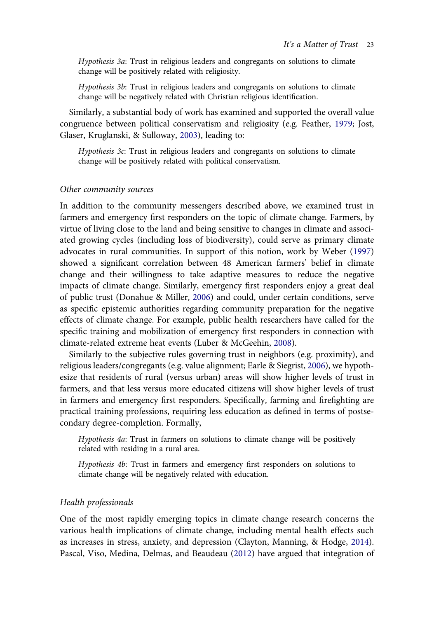Hypothesis 3a: Trust in religious leaders and congregants on solutions to climate change will be positively related with religiosity.

Hypothesis 3b: Trust in religious leaders and congregants on solutions to climate change will be negatively related with Christian religious identification.

Similarly, a substantial body of work has examined and supported the overall value congruence between political conservatism and religiosity (e.g. Feather, [1979;](#page-22-0) Jost, Glaser, Kruglanski, & Sulloway, [2003\)](#page-22-0), leading to:

Hypothesis 3c: Trust in religious leaders and congregants on solutions to climate change will be positively related with political conservatism.

#### Other community sources

In addition to the community messengers described above, we examined trust in farmers and emergency first responders on the topic of climate change. Farmers, by virtue of living close to the land and being sensitive to changes in climate and associated growing cycles (including loss of biodiversity), could serve as primary climate advocates in rural communities. In support of this notion, work by Weber [\(1997\)](#page-23-0) showed a significant correlation between 48 American farmers' belief in climate change and their willingness to take adaptive measures to reduce the negative impacts of climate change. Similarly, emergency first responders enjoy a great deal of public trust (Donahue & Miller, [2006](#page-21-0)) and could, under certain conditions, serve as specific epistemic authorities regarding community preparation for the negative effects of climate change. For example, public health researchers have called for the specific training and mobilization of emergency first responders in connection with climate-related extreme heat events (Luber & McGeehin, [2008](#page-22-0)).

Similarly to the subjective rules governing trust in neighbors (e.g. proximity), and religious leaders/congregants (e.g. value alignment; Earle & Siegrist, [2006\)](#page-21-0), we hypothesize that residents of rural (versus urban) areas will show higher levels of trust in farmers, and that less versus more educated citizens will show higher levels of trust in farmers and emergency first responders. Specifically, farming and firefighting are practical training professions, requiring less education as defined in terms of postsecondary degree-completion. Formally,

Hypothesis 4a: Trust in farmers on solutions to climate change will be positively related with residing in a rural area.

Hypothesis 4b: Trust in farmers and emergency first responders on solutions to climate change will be negatively related with education.

#### Health professionals

One of the most rapidly emerging topics in climate change research concerns the various health implications of climate change, including mental health effects such as increases in stress, anxiety, and depression (Clayton, Manning, & Hodge, [2014](#page-21-0)). Pascal, Viso, Medina, Delmas, and Beaudeau ([2012](#page-23-0)) have argued that integration of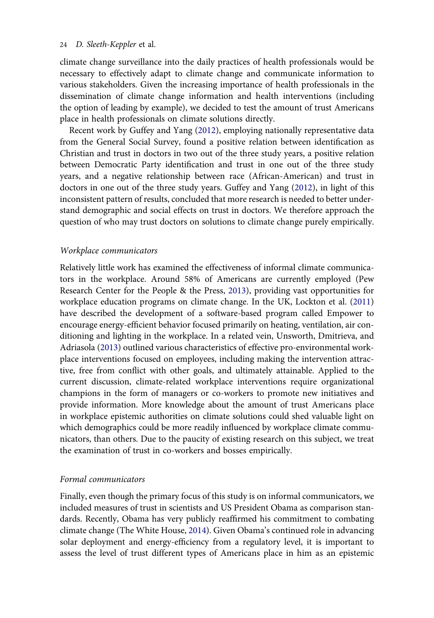climate change surveillance into the daily practices of health professionals would be necessary to effectively adapt to climate change and communicate information to various stakeholders. Given the increasing importance of health professionals in the dissemination of climate change information and health interventions (including the option of leading by example), we decided to test the amount of trust Americans place in health professionals on climate solutions directly.

Recent work by Guffey and Yang [\(2012](#page-22-0)), employing nationally representative data from the General Social Survey, found a positive relation between identification as Christian and trust in doctors in two out of the three study years, a positive relation between Democratic Party identification and trust in one out of the three study years, and a negative relationship between race (African-American) and trust in doctors in one out of the three study years. Guffey and Yang ([2012](#page-22-0)), in light of this inconsistent pattern of results, concluded that more research is needed to better understand demographic and social effects on trust in doctors. We therefore approach the question of who may trust doctors on solutions to climate change purely empirically.

#### Workplace communicators

Relatively little work has examined the effectiveness of informal climate communicators in the workplace. Around 58% of Americans are currently employed (Pew Research Center for the People & the Press, [2013\)](#page-23-0), providing vast opportunities for workplace education programs on climate change. In the UK, Lockton et al. [\(2011\)](#page-22-0) have described the development of a software-based program called Empower to encourage energy-efficient behavior focused primarily on heating, ventilation, air conditioning and lighting in the workplace. In a related vein, Unsworth, Dmitrieva, and Adriasola ([2013](#page-23-0)) outlined various characteristics of effective pro-environmental workplace interventions focused on employees, including making the intervention attractive, free from conflict with other goals, and ultimately attainable. Applied to the current discussion, climate-related workplace interventions require organizational champions in the form of managers or co-workers to promote new initiatives and provide information. More knowledge about the amount of trust Americans place in workplace epistemic authorities on climate solutions could shed valuable light on which demographics could be more readily influenced by workplace climate communicators, than others. Due to the paucity of existing research on this subject, we treat the examination of trust in co-workers and bosses empirically.

## Formal communicators

Finally, even though the primary focus of this study is on informal communicators, we included measures of trust in scientists and US President Obama as comparison standards. Recently, Obama has very publicly reaffirmed his commitment to combating climate change (The White House, [2014](#page-23-0)). Given Obama's continued role in advancing solar deployment and energy-efficiency from a regulatory level, it is important to assess the level of trust different types of Americans place in him as an epistemic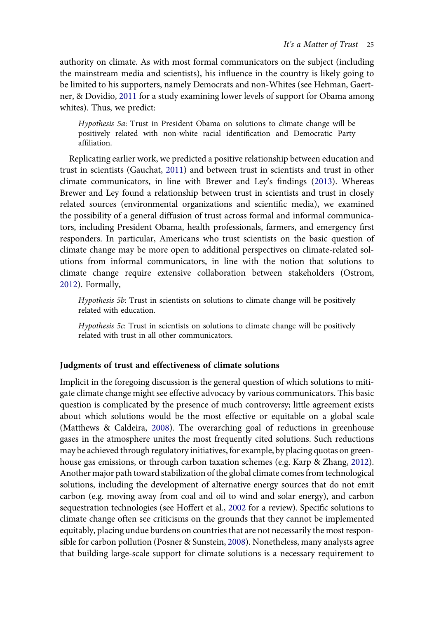authority on climate. As with most formal communicators on the subject (including the mainstream media and scientists), his influence in the country is likely going to be limited to his supporters, namely Democrats and non-Whites (see Hehman, Gaertner, & Dovidio, [2011](#page-22-0) for a study examining lower levels of support for Obama among whites). Thus, we predict:

Hypothesis 5a: Trust in President Obama on solutions to climate change will be positively related with non-white racial identification and Democratic Party affiliation.

Replicating earlier work, we predicted a positive relationship between education and trust in scientists (Gauchat, [2011\)](#page-22-0) and between trust in scientists and trust in other climate communicators, in line with Brewer and Ley's findings ([2013\)](#page-21-0). Whereas Brewer and Ley found a relationship between trust in scientists and trust in closely related sources (environmental organizations and scientific media), we examined the possibility of a general diffusion of trust across formal and informal communicators, including President Obama, health professionals, farmers, and emergency first responders. In particular, Americans who trust scientists on the basic question of climate change may be more open to additional perspectives on climate-related solutions from informal communicators, in line with the notion that solutions to climate change require extensive collaboration between stakeholders (Ostrom, [2012](#page-23-0)). Formally,

Hypothesis 5b: Trust in scientists on solutions to climate change will be positively related with education.

Hypothesis 5c: Trust in scientists on solutions to climate change will be positively related with trust in all other communicators.

## Judgments of trust and effectiveness of climate solutions

Implicit in the foregoing discussion is the general question of which solutions to mitigate climate change might see effective advocacy by various communicators. This basic question is complicated by the presence of much controversy; little agreement exists about which solutions would be the most effective or equitable on a global scale (Matthews & Caldeira, [2008\)](#page-23-0). The overarching goal of reductions in greenhouse gases in the atmosphere unites the most frequently cited solutions. Such reductions may be achieved through regulatory initiatives, for example, by placing quotas on greenhouse gas emissions, or through carbon taxation schemes (e.g. Karp & Zhang, [2012](#page-22-0)). Another major path toward stabilization of the global climate comes from technological solutions, including the development of alternative energy sources that do not emit carbon (e.g. moving away from coal and oil to wind and solar energy), and carbon sequestration technologies (see Hoffert et al., [2002](#page-22-0) for a review). Specific solutions to climate change often see criticisms on the grounds that they cannot be implemented equitably, placing undue burdens on countries that are not necessarily the most responsible for carbon pollution (Posner & Sunstein, [2008](#page-23-0)). Nonetheless, many analysts agree that building large-scale support for climate solutions is a necessary requirement to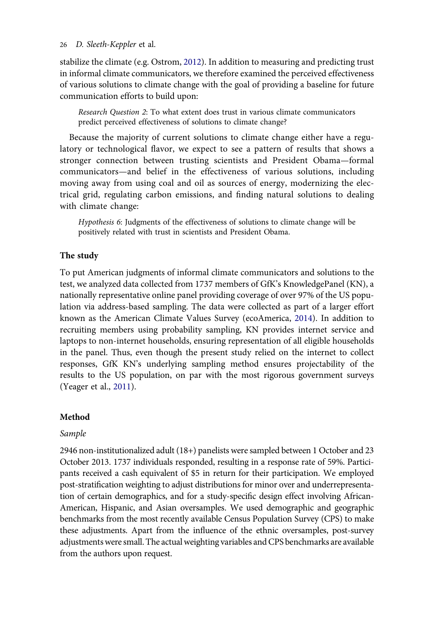stabilize the climate (e.g. Ostrom, [2012\)](#page-23-0). In addition to measuring and predicting trust in informal climate communicators, we therefore examined the perceived effectiveness of various solutions to climate change with the goal of providing a baseline for future communication efforts to build upon:

Research Question 2: To what extent does trust in various climate communicators predict perceived effectiveness of solutions to climate change?

Because the majority of current solutions to climate change either have a regulatory or technological flavor, we expect to see a pattern of results that shows a stronger connection between trusting scientists and President Obama—formal communicators—and belief in the effectiveness of various solutions, including moving away from using coal and oil as sources of energy, modernizing the electrical grid, regulating carbon emissions, and finding natural solutions to dealing with climate change:

Hypothesis 6: Judgments of the effectiveness of solutions to climate change will be positively related with trust in scientists and President Obama.

## The study

To put American judgments of informal climate communicators and solutions to the test, we analyzed data collected from 1737 members of GfK's KnowledgePanel (KN), a nationally representative online panel providing coverage of over 97% of the US population via address-based sampling. The data were collected as part of a larger effort known as the American Climate Values Survey (ecoAmerica, [2014](#page-22-0)). In addition to recruiting members using probability sampling, KN provides internet service and laptops to non-internet households, ensuring representation of all eligible households in the panel. Thus, even though the present study relied on the internet to collect responses, GfK KN's underlying sampling method ensures projectability of the results to the US population, on par with the most rigorous government surveys (Yeager et al., [2011\)](#page-24-0).

#### Method

#### Sample

2946 non-institutionalized adult (18+) panelists were sampled between 1 October and 23 October 2013. 1737 individuals responded, resulting in a response rate of 59%. Participants received a cash equivalent of \$5 in return for their participation. We employed post-stratification weighting to adjust distributions for minor over and underrepresentation of certain demographics, and for a study-specific design effect involving African-American, Hispanic, and Asian oversamples. We used demographic and geographic benchmarks from the most recently available Census Population Survey (CPS) to make these adjustments. Apart from the influence of the ethnic oversamples, post-survey adjustments were small. The actual weighting variables and CPS benchmarks are available from the authors upon request.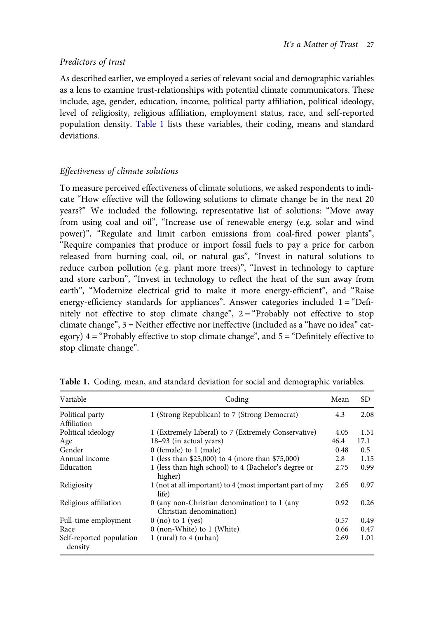## Predictors of trust

As described earlier, we employed a series of relevant social and demographic variables as a lens to examine trust-relationships with potential climate communicators. These include, age, gender, education, income, political party affiliation, political ideology, level of religiosity, religious affiliation, employment status, race, and self-reported population density. Table 1 lists these variables, their coding, means and standard deviations.

## Effectiveness of climate solutions

To measure perceived effectiveness of climate solutions, we asked respondents to indicate "How effective will the following solutions to climate change be in the next 20 years?" We included the following, representative list of solutions: "Move away from using coal and oil", "Increase use of renewable energy (e.g. solar and wind power)", "Regulate and limit carbon emissions from coal-fired power plants", "Require companies that produce or import fossil fuels to pay a price for carbon released from burning coal, oil, or natural gas", "Invest in natural solutions to reduce carbon pollution (e.g. plant more trees)", "Invest in technology to capture and store carbon", "Invest in technology to reflect the heat of the sun away from earth", "Modernize electrical grid to make it more energy-efficient", and "Raise energy-efficiency standards for appliances". Answer categories included 1 = "Definitely not effective to stop climate change", 2= "Probably not effective to stop climate change", 3 = Neither effective nor ineffective (included as a "have no idea" category)  $4 =$  "Probably effective to stop climate change", and  $5 =$  "Definitely effective to stop climate change".

| Variable                            | Coding                                                                  | Mean | SD.  |
|-------------------------------------|-------------------------------------------------------------------------|------|------|
| Political party<br>Affiliation      | 1 (Strong Republican) to 7 (Strong Democrat)                            | 4.3  | 2.08 |
| Political ideology                  | 1 (Extremely Liberal) to 7 (Extremely Conservative)                     | 4.05 | 1.51 |
| Age                                 | 18-93 (in actual years)                                                 | 46.4 | 17.1 |
| Gender                              | $0$ (female) to $1$ (male)                                              | 0.48 | 0.5  |
| Annual income                       | 1 (less than \$25,000) to 4 (more than \$75,000)                        | 2.8  | 1.15 |
| Education                           | 1 (less than high school) to 4 (Bachelor's degree or<br>higher)         | 2.75 | 0.99 |
| Religiosity                         | 1 (not at all important) to 4 (most important part of my<br>life)       | 2.65 | 0.97 |
| Religious affiliation               | 0 (any non-Christian denomination) to 1 (any<br>Christian denomination) | 0.92 | 0.26 |
| Full-time employment                | $0$ (no) to 1 (yes)                                                     | 0.57 | 0.49 |
| Race                                | 0 (non-White) to 1 (White)                                              | 0.66 | 0.47 |
| Self-reported population<br>density | 1 (rural) to $4$ (urban)                                                | 2.69 | 1.01 |

Table 1. Coding, mean, and standard deviation for social and demographic variables.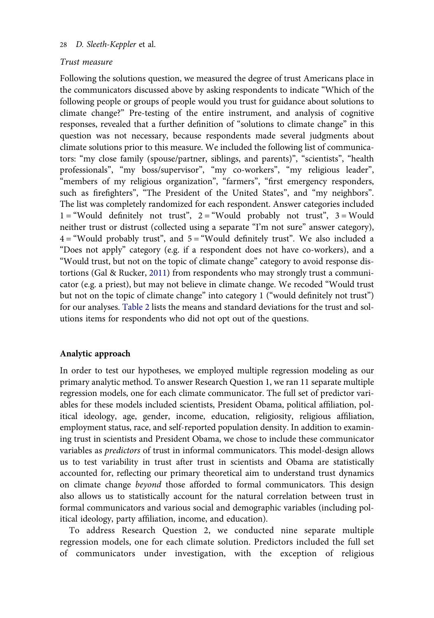## Trust measure

Following the solutions question, we measured the degree of trust Americans place in the communicators discussed above by asking respondents to indicate "Which of the following people or groups of people would you trust for guidance about solutions to climate change?" Pre-testing of the entire instrument, and analysis of cognitive responses, revealed that a further definition of "solutions to climate change" in this question was not necessary, because respondents made several judgments about climate solutions prior to this measure. We included the following list of communicators: "my close family (spouse/partner, siblings, and parents)", "scientists", "health professionals", "my boss/supervisor", "my co-workers", "my religious leader", "members of my religious organization", "farmers", "first emergency responders, such as firefighters", "The President of the United States", and "my neighbors". The list was completely randomized for each respondent. Answer categories included  $1 =$ "Would definitely not trust",  $2 =$  "Would probably not trust",  $3 =$  Would neither trust or distrust (collected using a separate "I'm not sure" answer category),  $4 =$  "Would probably trust", and  $5 =$  "Would definitely trust". We also included a "Does not apply" category (e.g. if a respondent does not have co-workers), and a "Would trust, but not on the topic of climate change" category to avoid response distortions (Gal & Rucker, [2011\)](#page-22-0) from respondents who may strongly trust a communicator (e.g. a priest), but may not believe in climate change. We recoded "Would trust but not on the topic of climate change" into category 1 ("would definitely not trust") for our analyses. [Table 2](#page-13-0) lists the means and standard deviations for the trust and solutions items for respondents who did not opt out of the questions.

## Analytic approach

In order to test our hypotheses, we employed multiple regression modeling as our primary analytic method. To answer Research Question 1, we ran 11 separate multiple regression models, one for each climate communicator. The full set of predictor variables for these models included scientists, President Obama, political affiliation, political ideology, age, gender, income, education, religiosity, religious affiliation, employment status, race, and self-reported population density. In addition to examining trust in scientists and President Obama, we chose to include these communicator variables as predictors of trust in informal communicators. This model-design allows us to test variability in trust after trust in scientists and Obama are statistically accounted for, reflecting our primary theoretical aim to understand trust dynamics on climate change beyond those afforded to formal communicators. This design also allows us to statistically account for the natural correlation between trust in formal communicators and various social and demographic variables (including political ideology, party affiliation, income, and education).

To address Research Question 2, we conducted nine separate multiple regression models, one for each climate solution. Predictors included the full set of communicators under investigation, with the exception of religious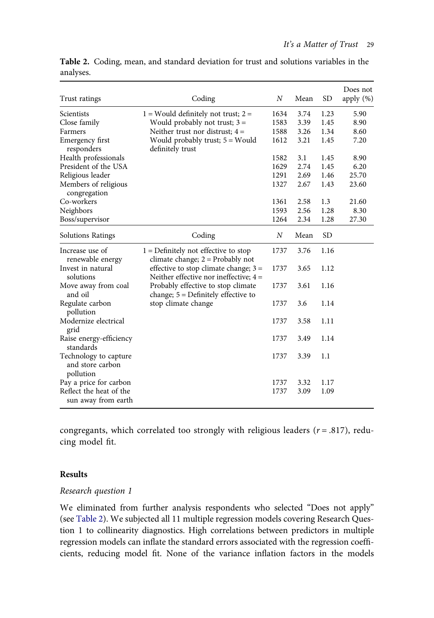| Trust ratings                                          | Coding                                                                              | $\boldsymbol{N}$ | Mean | <b>SD</b> | Does not<br>apply $(\%)$ |
|--------------------------------------------------------|-------------------------------------------------------------------------------------|------------------|------|-----------|--------------------------|
| Scientists                                             | $1 =$ Would definitely not trust; $2 =$                                             | 1634             | 3.74 | 1.23      | 5.90                     |
| Close family                                           | Would probably not trust; $3 =$                                                     | 1583             | 3.39 | 1.45      | 8.90                     |
| Farmers                                                | Neither trust nor distrust; $4 =$                                                   | 1588             | 3.26 | 1.34      | 8.60                     |
| Emergency first<br>responders                          | Would probably trust; 5 = Would<br>definitely trust                                 | 1612             | 3.21 | 1.45      | 7.20                     |
| Health professionals                                   |                                                                                     | 1582             | 3.1  | 1.45      | 8.90                     |
| President of the USA                                   |                                                                                     | 1629             | 2.74 | 1.45      | 6.20                     |
| Religious leader                                       |                                                                                     | 1291             | 2.69 | 1.46      | 25.70                    |
| Members of religious<br>congregation                   |                                                                                     | 1327             | 2.67 | 1.43      | 23.60                    |
| Co-workers                                             |                                                                                     | 1361             | 2.58 | 1.3       | 21.60                    |
| Neighbors                                              |                                                                                     | 1593             | 2.56 | 1.28      | 8.30                     |
| Boss/supervisor                                        |                                                                                     | 1264             | 2.34 | 1.28      | 27.30                    |
| <b>Solutions Ratings</b>                               | Coding                                                                              | N                | Mean | <b>SD</b> |                          |
| Increase use of<br>renewable energy                    | $1 =$ Definitely not effective to stop<br>climate change; $2 =$ Probably not        | 1737             | 3.76 | 1.16      |                          |
| Invest in natural<br>solutions                         | effective to stop climate change; $3 =$<br>Neither effective nor ineffective: $4 =$ | 1737             | 3.65 | 1.12      |                          |
| Move away from coal<br>and oil                         | Probably effective to stop climate<br>change; $5 =$ Definitely effective to         | 1737             | 3.61 | 1.16      |                          |
| Regulate carbon<br>pollution                           | stop climate change                                                                 | 1737             | 3.6  | 1.14      |                          |
| Modernize electrical<br>grid                           |                                                                                     | 1737             | 3.58 | 1.11      |                          |
| Raise energy-efficiency<br>standards                   |                                                                                     | 1737             | 3.49 | 1.14      |                          |
| Technology to capture<br>and store carbon<br>pollution |                                                                                     | 1737             | 3.39 | 1.1       |                          |
| Pay a price for carbon                                 |                                                                                     | 1737             | 3.32 | 1.17      |                          |
| Reflect the heat of the<br>sun away from earth         |                                                                                     | 1737             | 3.09 | 1.09      |                          |

<span id="page-13-0"></span>Table 2. Coding, mean, and standard deviation for trust and solutions variables in the analyses.

congregants, which correlated too strongly with religious leaders ( $r = .817$ ), reducing model fit.

## Results

### Research question 1

We eliminated from further analysis respondents who selected "Does not apply" (see Table 2). We subjected all 11 multiple regression models covering Research Question 1 to collinearity diagnostics. High correlations between predictors in multiple regression models can inflate the standard errors associated with the regression coefficients, reducing model fit. None of the variance inflation factors in the models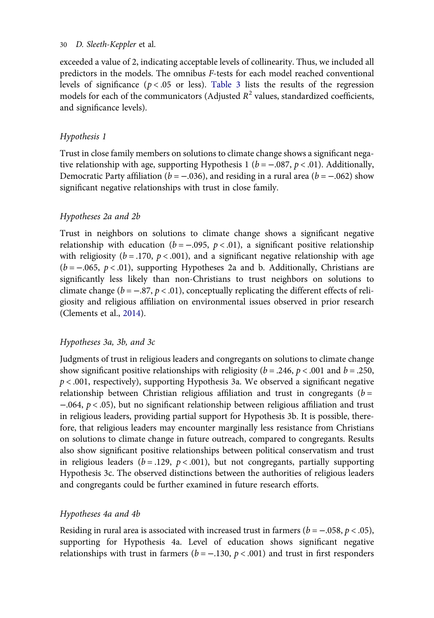exceeded a value of 2, indicating acceptable levels of collinearity. Thus, we included all predictors in the models. The omnibus F-tests for each model reached conventional levels of significance ( $p < .05$  or less). [Table 3](#page-15-0) lists the results of the regression models for each of the communicators (Adjusted  $R^2$  values, standardized coefficients, and significance levels).

## Hypothesis 1

Trust in close family members on solutions to climate change shows a significant negative relationship with age, supporting Hypothesis 1 ( $b = -.087$ ,  $p < .01$ ). Additionally, Democratic Party affiliation ( $b = -.036$ ), and residing in a rural area ( $b = -.062$ ) show significant negative relationships with trust in close family.

## Hypotheses 2a and 2b

Trust in neighbors on solutions to climate change shows a significant negative relationship with education ( $b = -.095$ ,  $p < .01$ ), a significant positive relationship with religiosity ( $b = .170$ ,  $p < .001$ ), and a significant negative relationship with age  $(b = -.065, p < .01)$ , supporting Hypotheses 2a and b. Additionally, Christians are significantly less likely than non-Christians to trust neighbors on solutions to climate change ( $b = -.87, p < .01$ ), conceptually replicating the different effects of religiosity and religious affiliation on environmental issues observed in prior research (Clements et al., [2014\)](#page-21-0).

## Hypotheses 3a, 3b, and 3c

Judgments of trust in religious leaders and congregants on solutions to climate change show significant positive relationships with religiosity ( $b = .246$ ,  $p < .001$  and  $b = .250$ ,  $p < .001$ , respectively), supporting Hypothesis 3a. We observed a significant negative relationship between Christian religious affiliation and trust in congregants ( $b =$ −.064, p < .05), but no significant relationship between religious affiliation and trust in religious leaders, providing partial support for Hypothesis 3b. It is possible, therefore, that religious leaders may encounter marginally less resistance from Christians on solutions to climate change in future outreach, compared to congregants. Results also show significant positive relationships between political conservatism and trust in religious leaders ( $b = .129$ ,  $p < .001$ ), but not congregants, partially supporting Hypothesis 3c. The observed distinctions between the authorities of religious leaders and congregants could be further examined in future research efforts.

## Hypotheses 4a and 4b

Residing in rural area is associated with increased trust in farmers ( $b = -.058$ ,  $p < .05$ ), supporting for Hypothesis 4a. Level of education shows significant negative relationships with trust in farmers ( $b = -.130$ ,  $p < .001$ ) and trust in first responders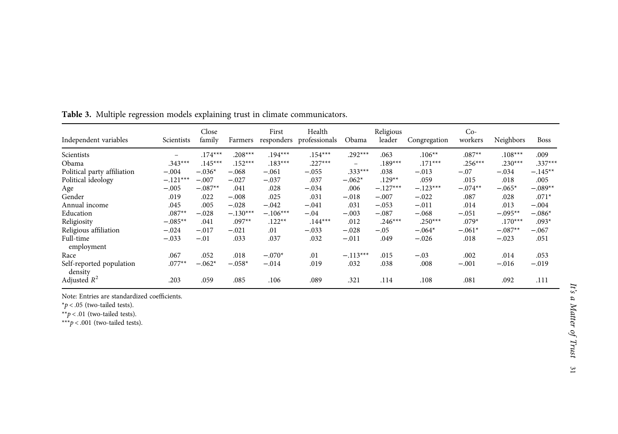| Independent variables               | Scientists | Close<br>family | Farmers    | First      | Health<br>responders professionals | Obama                    | Religious<br>leader | Congregation | $Co-$<br>workers | Neighbors | <b>Boss</b> |
|-------------------------------------|------------|-----------------|------------|------------|------------------------------------|--------------------------|---------------------|--------------|------------------|-----------|-------------|
| Scientists                          |            | $.174***$       | $.208***$  | $.194***$  | $.154***$                          | $.292***$                | .063                | $.106**$     | $.087**$         | $.108***$ | .009        |
| Obama                               | $.343***$  | $.145***$       | $.152***$  | $.183***$  | $.227***$                          | $\overline{\phantom{0}}$ | $.189***$           | $.171***$    | $.256***$        | $.230***$ | $.337***$   |
| Political party affiliation         | $-.004$    | $-.036*$        | $-.068$    | $-.061$    | $-.055$                            | $.333***$                | .038                | $-.013$      | $-.07$           | $-.034$   | $-.145**$   |
| Political ideology                  | $-.121***$ | $-.007$         | $-.027$    | $-.037$    | .037                               | $-.062*$                 | $.129**$            | .059         | .015             | .018      | .005        |
| Age                                 | $-.005$    | $-.087**$       | .041       | .028       | $-.034$                            | .006                     | $-.127***$          | $-.123***$   | $-.074**$        | $-.065*$  | $-.089**$   |
| Gender                              | .019       | .022            | $-.008$    | .025       | .031                               | $-.018$                  | $-.007$             | $-.022$      | .087             | .028      | $.071*$     |
| Annual income                       | .045       | .005            | $-.028$    | $-.042$    | $-.041$                            | .031                     | $-.053$             | $-.011$      | .014             | .013      | $-.004$     |
| Education                           | $.087**$   | $-.028$         | $-.130***$ | $-.106***$ | $-.04$                             | $-.003$                  | $-.087$             | $-.068$      | $-.051$          | $-.095**$ | $-.086*$    |
| Religiosity                         | $-.085**$  | .041            | $.097**$   | $.122**$   | $.144***$                          | .012                     | $.246***$           | $.250***$    | $.079*$          | $.170***$ | $.093*$     |
| Religious affiliation               | $-.024$    | $-.017$         | $-.021$    | .01        | $-.033$                            | $-.028$                  | $-.05$              | $-.064*$     | $-.061*$         | $-.087**$ | $-.067$     |
| Full-time<br>employment             | $-.033$    | $-.01$          | .033       | .037       | .032                               | $-.011$                  | .049                | $-.026$      | .018             | $-.023$   | .051        |
| Race                                | .067       | .052            | .018       | $-.070*$   | .01                                | $-.113***$               | .015                | $-.03$       | .002             | .014      | .053        |
| Self-reported population<br>density | $.077**$   | $-.062*$        | $-.058*$   | $-.014$    | .019                               | .032                     | .038                | .008         | $-.001$          | $-.016$   | $-.019$     |
| Adjusted $R^2$                      | .203       | .059            | .085       | .106       | .089                               | .321                     | .114                | .108         | .081             | .092      | .111        |

<span id="page-15-0"></span>Table 3. Multiple regression models explaining trust in climate communicators.

Note: Entries are standardized coefficients.

 $*p$  < .05 (two-tailed tests).

\*\* $p < .01$  (two-tailed tests).

\*\*\* $p < .001$  (two-tailed tests).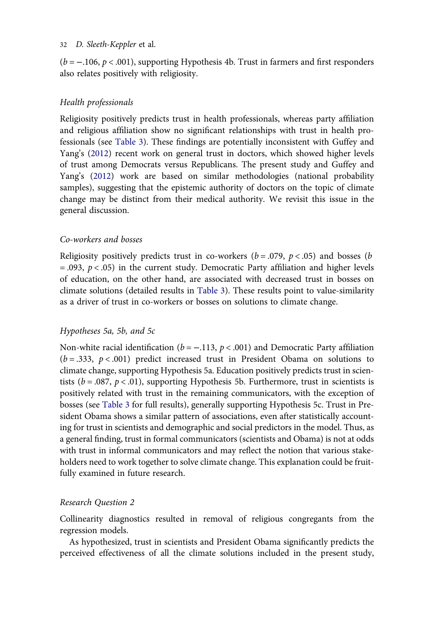$(b = -106, p < .001)$ , supporting Hypothesis 4b. Trust in farmers and first responders also relates positively with religiosity.

## Health professionals

Religiosity positively predicts trust in health professionals, whereas party affiliation and religious affiliation show no significant relationships with trust in health professionals (see [Table 3\)](#page-15-0). These findings are potentially inconsistent with Guffey and Yang's [\(2012](#page-22-0)) recent work on general trust in doctors, which showed higher levels of trust among Democrats versus Republicans. The present study and Guffey and Yang's [\(2012](#page-22-0)) work are based on similar methodologies (national probability samples), suggesting that the epistemic authority of doctors on the topic of climate change may be distinct from their medical authority. We revisit this issue in the general discussion.

## Co-workers and bosses

Religiosity positively predicts trust in co-workers ( $b = .079$ ,  $p < .05$ ) and bosses (b)  $= .093, p < .05$ ) in the current study. Democratic Party affiliation and higher levels of education, on the other hand, are associated with decreased trust in bosses on climate solutions (detailed results in [Table 3\)](#page-15-0). These results point to value-similarity as a driver of trust in co-workers or bosses on solutions to climate change.

#### Hypotheses 5a, 5b, and 5c

Non-white racial identification ( $b = -0.113$ ,  $p < 0.001$ ) and Democratic Party affiliation  $(b=.333, p<.001)$  predict increased trust in President Obama on solutions to climate change, supporting Hypothesis 5a. Education positively predicts trust in scientists ( $b = .087$ ,  $p < .01$ ), supporting Hypothesis 5b. Furthermore, trust in scientists is positively related with trust in the remaining communicators, with the exception of bosses (see [Table 3](#page-15-0) for full results), generally supporting Hypothesis 5c. Trust in President Obama shows a similar pattern of associations, even after statistically accounting for trust in scientists and demographic and social predictors in the model. Thus, as a general finding, trust in formal communicators (scientists and Obama) is not at odds with trust in informal communicators and may reflect the notion that various stakeholders need to work together to solve climate change. This explanation could be fruitfully examined in future research.

#### Research Question 2

Collinearity diagnostics resulted in removal of religious congregants from the regression models.

As hypothesized, trust in scientists and President Obama significantly predicts the perceived effectiveness of all the climate solutions included in the present study,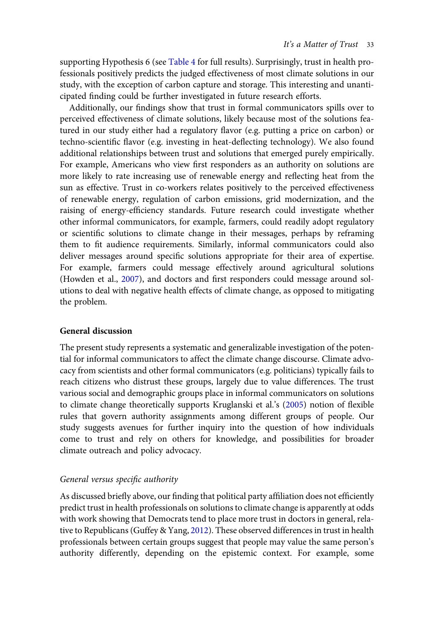supporting Hypothesis 6 (see [Table 4](#page-18-0) for full results). Surprisingly, trust in health professionals positively predicts the judged effectiveness of most climate solutions in our study, with the exception of carbon capture and storage. This interesting and unanticipated finding could be further investigated in future research efforts.

Additionally, our findings show that trust in formal communicators spills over to perceived effectiveness of climate solutions, likely because most of the solutions featured in our study either had a regulatory flavor (e.g. putting a price on carbon) or techno-scientific flavor (e.g. investing in heat-deflecting technology). We also found additional relationships between trust and solutions that emerged purely empirically. For example, Americans who view first responders as an authority on solutions are more likely to rate increasing use of renewable energy and reflecting heat from the sun as effective. Trust in co-workers relates positively to the perceived effectiveness of renewable energy, regulation of carbon emissions, grid modernization, and the raising of energy-efficiency standards. Future research could investigate whether other informal communicators, for example, farmers, could readily adopt regulatory or scientific solutions to climate change in their messages, perhaps by reframing them to fit audience requirements. Similarly, informal communicators could also deliver messages around specific solutions appropriate for their area of expertise. For example, farmers could message effectively around agricultural solutions (Howden et al., [2007\)](#page-22-0), and doctors and first responders could message around solutions to deal with negative health effects of climate change, as opposed to mitigating the problem.

## General discussion

The present study represents a systematic and generalizable investigation of the potential for informal communicators to affect the climate change discourse. Climate advocacy from scientists and other formal communicators (e.g. politicians) typically fails to reach citizens who distrust these groups, largely due to value differences. The trust various social and demographic groups place in informal communicators on solutions to climate change theoretically supports Kruglanski et al.'s ([2005\)](#page-22-0) notion of flexible rules that govern authority assignments among different groups of people. Our study suggests avenues for further inquiry into the question of how individuals come to trust and rely on others for knowledge, and possibilities for broader climate outreach and policy advocacy.

## General versus specific authority

As discussed briefly above, our finding that political party affiliation does not efficiently predict trust in health professionals on solutions to climate change is apparently at odds with work showing that Democrats tend to place more trust in doctors in general, relative to Republicans (Guffey & Yang, [2012\)](#page-22-0). These observed differences in trust in health professionals between certain groups suggest that people may value the same person's authority differently, depending on the epistemic context. For example, some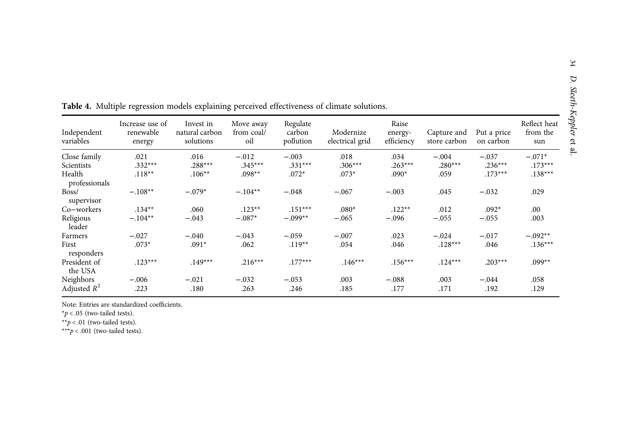| Independent<br>variables | Increase use of<br>renewable<br>energy | Invest in<br>natural carbon<br>solutions | Move away<br>from coal/<br>oil | Regulate<br>carbon<br>pollution | Modernize<br>electrical grid | Raise<br>energy-<br>efficiency | Capture and<br>store carbon | Put a price<br>on carbon | Reflect heat<br>from the<br>sun |
|--------------------------|----------------------------------------|------------------------------------------|--------------------------------|---------------------------------|------------------------------|--------------------------------|-----------------------------|--------------------------|---------------------------------|
| Close family             | .021                                   | .016                                     | $-.012$                        | $-.003$                         | .018                         | .034                           | $-.004$                     | $-.037$                  | $-.071*$                        |
| Scientists               | $.332***$                              | $.288***$                                | $.345***$                      | $.331***$                       | $.306***$                    | $.263***$                      | $.280***$                   | $.236***$                | $.173***$                       |
| Health<br>professionals  | $.118**$                               | $.106**$                                 | $.098**$                       | $.072*$                         | $.073*$                      | $.090*$                        | .059                        | $.173***$                | $.138***$                       |
| Boss/<br>supervisor      | $-.108**$                              | $-.079*$                                 | $-.104**$                      | $-.048$                         | $-.067$                      | $-.003$                        | .045                        | $-.032$                  | .029                            |
| Co-workers               | $.134**$                               | .060                                     | $.123**$                       | $.151***$                       | $.080*$                      | $.122**$                       | .012                        | $.092*$                  | .00                             |
| Religious<br>leader      | $-.104**$                              | $-.043$                                  | $-.087*$                       | $-.099**$                       | $-.065$                      | $-.096$                        | $-.055$                     | $-.055$                  | .003                            |
| Farmers                  | $-.027$                                | $-.040$                                  | $-.043$                        | $-.059$                         | $-.007$                      | .023                           | $-.024$                     | $-.017$                  | $-.092**$                       |
| First<br>responders      | $.073*$                                | $.091*$                                  | .062                           | $.119**$                        | .054                         | .046                           | $.128***$                   | .046                     | $.136***$                       |
| President of<br>the USA  | $.123***$                              | $.149***$                                | $.216***$                      | $.177***$                       | $.146***$                    | $.156***$                      | $.124***$                   | $.203***$                | $.099**$                        |
| Neighbors                | $-.006$                                | $-.021$                                  | $-.032$                        | $-.053$                         | .003                         | $-.088$                        | .003                        | $-.044$                  | .058                            |
| Adjusted $R^2$           | .223                                   | .180                                     | .263                           | .246                            | .185                         | .177                           | .171                        | .192                     | .129                            |

<span id="page-18-0"></span>Table 4. Multiple regression models explaining perceived effectiveness of climate solutions.

Note: Entries are standardized coefficients.

 $*p$  < .05 (two-tailed tests).

\*\*p < .01 (two-tailed tests).

\*\*\*p < .001 (two-tailed tests).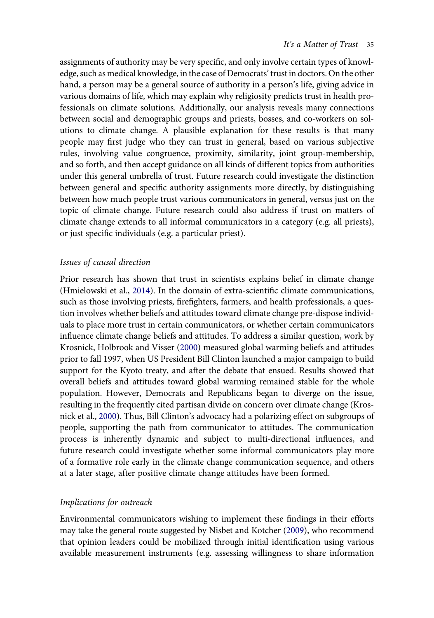assignments of authority may be very specific, and only involve certain types of knowledge, such as medical knowledge, in the case of Democrats' trust in doctors. On the other hand, a person may be a general source of authority in a person's life, giving advice in various domains of life, which may explain why religiosity predicts trust in health professionals on climate solutions. Additionally, our analysis reveals many connections between social and demographic groups and priests, bosses, and co-workers on solutions to climate change. A plausible explanation for these results is that many people may first judge who they can trust in general, based on various subjective rules, involving value congruence, proximity, similarity, joint group-membership, and so forth, and then accept guidance on all kinds of different topics from authorities under this general umbrella of trust. Future research could investigate the distinction between general and specific authority assignments more directly, by distinguishing between how much people trust various communicators in general, versus just on the topic of climate change. Future research could also address if trust on matters of climate change extends to all informal communicators in a category (e.g. all priests), or just specific individuals (e.g. a particular priest).

#### Issues of causal direction

Prior research has shown that trust in scientists explains belief in climate change (Hmielowski et al., [2014\)](#page-22-0). In the domain of extra-scientific climate communications, such as those involving priests, firefighters, farmers, and health professionals, a question involves whether beliefs and attitudes toward climate change pre-dispose individuals to place more trust in certain communicators, or whether certain communicators influence climate change beliefs and attitudes. To address a similar question, work by Krosnick, Holbrook and Visser ([2000\)](#page-22-0) measured global warming beliefs and attitudes prior to fall 1997, when US President Bill Clinton launched a major campaign to build support for the Kyoto treaty, and after the debate that ensued. Results showed that overall beliefs and attitudes toward global warming remained stable for the whole population. However, Democrats and Republicans began to diverge on the issue, resulting in the frequently cited partisan divide on concern over climate change (Krosnick et al., [2000](#page-22-0)). Thus, Bill Clinton's advocacy had a polarizing effect on subgroups of people, supporting the path from communicator to attitudes. The communication process is inherently dynamic and subject to multi-directional influences, and future research could investigate whether some informal communicators play more of a formative role early in the climate change communication sequence, and others at a later stage, after positive climate change attitudes have been formed.

#### Implications for outreach

Environmental communicators wishing to implement these findings in their efforts may take the general route suggested by Nisbet and Kotcher ([2009\)](#page-23-0), who recommend that opinion leaders could be mobilized through initial identification using various available measurement instruments (e.g. assessing willingness to share information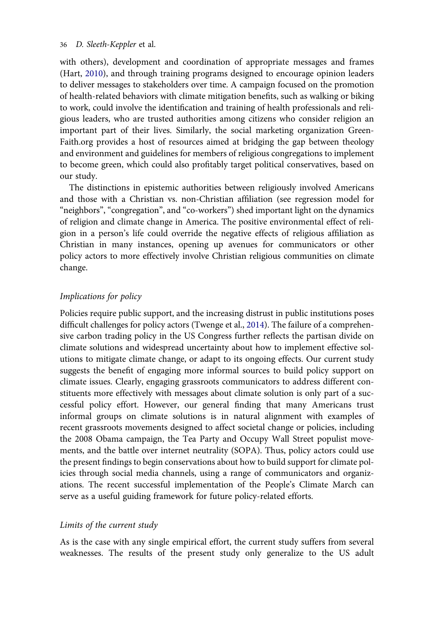with others), development and coordination of appropriate messages and frames (Hart, [2010\)](#page-22-0), and through training programs designed to encourage opinion leaders to deliver messages to stakeholders over time. A campaign focused on the promotion of health-related behaviors with climate mitigation benefits, such as walking or biking to work, could involve the identification and training of health professionals and religious leaders, who are trusted authorities among citizens who consider religion an important part of their lives. Similarly, the social marketing organization Green-Faith.org provides a host of resources aimed at bridging the gap between theology and environment and guidelines for members of religious congregations to implement to become green, which could also profitably target political conservatives, based on our study.

The distinctions in epistemic authorities between religiously involved Americans and those with a Christian vs. non-Christian affiliation (see regression model for "neighbors", "congregation", and "co-workers") shed important light on the dynamics of religion and climate change in America. The positive environmental effect of religion in a person's life could override the negative effects of religious affiliation as Christian in many instances, opening up avenues for communicators or other policy actors to more effectively involve Christian religious communities on climate change.

## Implications for policy

Policies require public support, and the increasing distrust in public institutions poses difficult challenges for policy actors (Twenge et al., [2014](#page-23-0)). The failure of a comprehensive carbon trading policy in the US Congress further reflects the partisan divide on climate solutions and widespread uncertainty about how to implement effective solutions to mitigate climate change, or adapt to its ongoing effects. Our current study suggests the benefit of engaging more informal sources to build policy support on climate issues. Clearly, engaging grassroots communicators to address different constituents more effectively with messages about climate solution is only part of a successful policy effort. However, our general finding that many Americans trust informal groups on climate solutions is in natural alignment with examples of recent grassroots movements designed to affect societal change or policies, including the 2008 Obama campaign, the Tea Party and Occupy Wall Street populist movements, and the battle over internet neutrality (SOPA). Thus, policy actors could use the present findings to begin conservations about how to build support for climate policies through social media channels, using a range of communicators and organizations. The recent successful implementation of the People's Climate March can serve as a useful guiding framework for future policy-related efforts.

## Limits of the current study

As is the case with any single empirical effort, the current study suffers from several weaknesses. The results of the present study only generalize to the US adult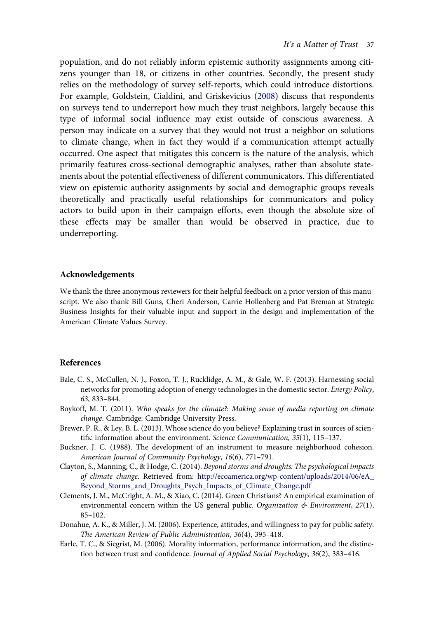<span id="page-21-0"></span>population, and do not reliably inform epistemic authority assignments among citizens younger than 18, or citizens in other countries. Secondly, the present study relies on the methodology of survey self-reports, which could introduce distortions. For example, Goldstein, Cialdini, and Griskevicius ([2008\)](#page-22-0) discuss that respondents on surveys tend to underreport how much they trust neighbors, largely because this type of informal social influence may exist outside of conscious awareness. A person may indicate on a survey that they would not trust a neighbor on solutions to climate change, when in fact they would if a communication attempt actually occurred. One aspect that mitigates this concern is the nature of the analysis, which primarily features cross-sectional demographic analyses, rather than absolute statements about the potential effectiveness of different communicators. This differentiated view on epistemic authority assignments by social and demographic groups reveals theoretically and practically useful relationships for communicators and policy actors to build upon in their campaign efforts, even though the absolute size of these effects may be smaller than would be observed in practice, due to underreporting.

## Acknowledgements

We thank the three anonymous reviewers for their helpful feedback on a prior version of this manuscript. We also thank Bill Guns, Cheri Anderson, Carrie Hollenberg and Pat Breman at Strategic Business Insights for their valuable input and support in the design and implementation of the American Climate Values Survey.

#### References

- Bale, C. S., McCullen, N. J., Foxon, T. J., Rucklidge, A. M., & Gale, W. F. (2013). Harnessing social networks for promoting adoption of energy technologies in the domestic sector. Energy Policy, 63, 833–844.
- Boykoff, M. T. (2011). Who speaks for the climate?: Making sense of media reporting on climate change. Cambridge: Cambridge University Press.
- Brewer, P. R., & Ley, B. L. (2013). Whose science do you believe? Explaining trust in sources of scientific information about the environment. Science Communication, 35(1), 115–137.
- Buckner, J. C. (1988). The development of an instrument to measure neighborhood cohesion. American Journal of Community Psychology, 16(6), 771–791.
- Clayton, S., Manning, C., & Hodge, C. (2014). Beyond storms and droughts: The psychological impacts of climate change. Retrieved from: [http://ecoamerica.org/wp-content/uploads/2014/06/eA\\_](http://ecoamerica.org/wp-content/uploads/2014/06/eA_Beyond_Storms_and_Droughts_Psych_Impacts_of_Climate_Change.pdf) [Beyond\\_Storms\\_and\\_Droughts\\_Psych\\_Impacts\\_of\\_Climate\\_Change.pdf](http://ecoamerica.org/wp-content/uploads/2014/06/eA_Beyond_Storms_and_Droughts_Psych_Impacts_of_Climate_Change.pdf)
- Clements, J. M., McCright, A. M., & Xiao, C. (2014). Green Christians? An empirical examination of environmental concern within the US general public. Organization  $\mathfrak{G}$  Environment, 27(1), 85–102.
- Donahue, A. K., & Miller, J. M. (2006). Experience, attitudes, and willingness to pay for public safety. The American Review of Public Administration, 36(4), 395–418.
- Earle, T. C., & Siegrist, M. (2006). Morality information, performance information, and the distinction between trust and confidence. Journal of Applied Social Psychology, 36(2), 383–416.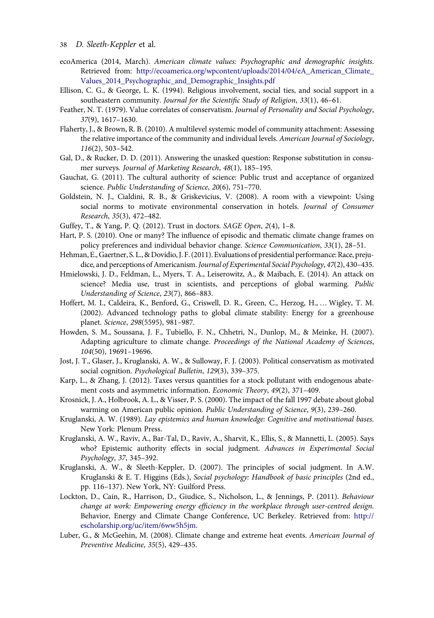- <span id="page-22-0"></span>38 D. Sleeth-Keppler et al.
- ecoAmerica (2014, March). American climate values: Psychographic and demographic insights. Retrieved from: [http://ecoamerica.org/wpcontent/uploads/2014/04/eA\\_American\\_Climate\\_](http://ecoamerica.org/wpcontent/uploads/2014/04/eA_American_Climate_Values_2014_Psychographic_and_Demographic_Insights.pdf) [Values\\_2014\\_Psychographic\\_and\\_Demographic\\_Insights.pdf](http://ecoamerica.org/wpcontent/uploads/2014/04/eA_American_Climate_Values_2014_Psychographic_and_Demographic_Insights.pdf)
- Ellison, C. G., & George, L. K. (1994). Religious involvement, social ties, and social support in a southeastern community. Journal for the Scientific Study of Religion, 33(1), 46–61.
- Feather, N. T. (1979). Value correlates of conservatism. Journal of Personality and Social Psychology, 37(9), 1617–1630.
- Flaherty, J., & Brown, R. B. (2010). A multilevel systemic model of community attachment: Assessing the relative importance of the community and individual levels. American Journal of Sociology, 116(2), 503–542.
- Gal, D., & Rucker, D. D. (2011). Answering the unasked question: Response substitution in consumer surveys. Journal of Marketing Research, 48(1), 185–195.
- Gauchat, G. (2011). The cultural authority of science: Public trust and acceptance of organized science. Public Understanding of Science, 20(6), 751–770.
- Goldstein, N. J., Cialdini, R. B., & Griskevicius, V. (2008). A room with a viewpoint: Using social norms to motivate environmental conservation in hotels. Journal of Consumer Research, 35(3), 472–482.
- Guffey, T., & Yang, P. Q. (2012). Trust in doctors. SAGE Open, 2(4), 1–8.
- Hart, P. S. (2010). One or many? The influence of episodic and thematic climate change frames on policy preferences and individual behavior change. Science Communication, 33(1), 28–51.
- Hehman, E., Gaertner, S. L., & Dovidio, J. F. (2011). Evaluations of presidential performance: Race, prejudice, and perceptions of Americanism. Journal of Experimental Social Psychology, 47(2), 430-435.
- Hmielowski, J. D., Feldman, L., Myers, T. A., Leiserowitz, A., & Maibach, E. (2014). An attack on science? Media use, trust in scientists, and perceptions of global warming. Public Understanding of Science, 23(7), 866–883.
- Hoffert, M. I., Caldeira, K., Benford, G., Criswell, D. R., Green, C., Herzog, H., … Wigley, T. M. (2002). Advanced technology paths to global climate stability: Energy for a greenhouse planet. Science, 298(5595), 981–987.
- Howden, S. M., Soussana, J. F., Tubiello, F. N., Chhetri, N., Dunlop, M., & Meinke, H. (2007). Adapting agriculture to climate change. Proceedings of the National Academy of Sciences, 104(50), 19691–19696.
- Jost, J. T., Glaser, J., Kruglanski, A. W., & Sulloway, F. J. (2003). Political conservatism as motivated social cognition. Psychological Bulletin, 129(3), 339–375.
- Karp, L., & Zhang, J. (2012). Taxes versus quantities for a stock pollutant with endogenous abatement costs and asymmetric information. Economic Theory, 49(2), 371–409.
- Krosnick, J. A., Holbrook, A. L., & Visser, P. S. (2000). The impact of the fall 1997 debate about global warming on American public opinion. Public Understanding of Science, 9(3), 239–260.
- Kruglanski, A. W. (1989). Lay epistemics and human knowledge: Cognitive and motivational bases. New York: Plenum Press.
- Kruglanski, A. W., Raviv, A., Bar-Tal, D., Raviv, A., Sharvit, K., Ellis, S., & Mannetti, L. (2005). Says who? Epistemic authority effects in social judgment. Advances in Experimental Social Psychology, 37, 345–392.
- Kruglanski, A. W., & Sleeth-Keppler, D. (2007). The principles of social judgment. In A.W. Kruglanski & E. T. Higgins (Eds.), Social psychology: Handbook of basic principles (2nd ed., pp. 116–137). New York, NY: Guilford Press.
- Lockton, D., Cain, R., Harrison, D., Giudice, S., Nicholson, L., & Jennings, P. (2011). Behaviour change at work: Empowering energy efficiency in the workplace through user-centred design. Behavior, Energy and Climate Change Conference, UC Berkeley. Retrieved from: [http://](http://escholarship.org/uc/item/6ww5h5jm) [escholarship.org/uc/item/6ww5h5jm.](http://escholarship.org/uc/item/6ww5h5jm)
- Luber, G., & McGeehin, M. (2008). Climate change and extreme heat events. American Journal of Preventive Medicine, 35(5), 429–435.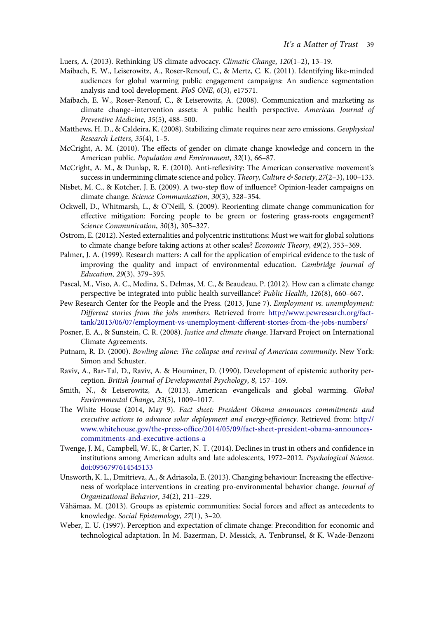<span id="page-23-0"></span>Luers, A. (2013). Rethinking US climate advocacy. Climatic Change, 120(1–2), 13–19.

- Maibach, E. W., Leiserowitz, A., Roser-Renouf, C., & Mertz, C. K. (2011). Identifying like-minded audiences for global warming public engagement campaigns: An audience segmentation analysis and tool development. PloS ONE, 6(3), e17571.
- Maibach, E. W., Roser-Renouf, C., & Leiserowitz, A. (2008). Communication and marketing as climate change–intervention assets: A public health perspective. American Journal of Preventive Medicine, 35(5), 488–500.
- Matthews, H. D., & Caldeira, K. (2008). Stabilizing climate requires near zero emissions. Geophysical Research Letters, 35(4), 1–5.
- McCright, A. M. (2010). The effects of gender on climate change knowledge and concern in the American public. Population and Environment, 32(1), 66–87.
- McCright, A. M., & Dunlap, R. E. (2010). Anti-reflexivity: The American conservative movement's success in undermining climate science and policy. Theory, Culture & Society, 27(2-3), 100-133.
- Nisbet, M. C., & Kotcher, J. E. (2009). A two-step flow of influence? Opinion-leader campaigns on climate change. Science Communication, 30(3), 328–354.
- Ockwell, D., Whitmarsh, L., & O'Neill, S. (2009). Reorienting climate change communication for effective mitigation: Forcing people to be green or fostering grass-roots engagement? Science Communication, 30(3), 305–327.
- Ostrom, E. (2012). Nested externalities and polycentric institutions: Must we wait for global solutions to climate change before taking actions at other scales? Economic Theory, 49(2), 353–369.
- Palmer, J. A. (1999). Research matters: A call for the application of empirical evidence to the task of improving the quality and impact of environmental education. Cambridge Journal of Education, 29(3), 379–395.
- Pascal, M., Viso, A. C., Medina, S., Delmas, M. C., & Beaudeau, P. (2012). How can a climate change perspective be integrated into public health surveillance? Public Health, 126(8), 660–667.
- Pew Research Center for the People and the Press. (2013, June 7). Employment vs. unemployment: Different stories from the jobs numbers. Retrieved from: [http://www.pewresearch.org/fact](http://www.pewresearch.org/fact-tank/2013/06/07/employment-vs-unemployment-different-stories-from-the-jobs-numbers/)[tank/2013/06/07/employment-vs-unemployment-different-stories-from-the-jobs-numbers/](http://www.pewresearch.org/fact-tank/2013/06/07/employment-vs-unemployment-different-stories-from-the-jobs-numbers/)
- Posner, E. A., & Sunstein, C. R. (2008). Justice and climate change. Harvard Project on International Climate Agreements.
- Putnam, R. D. (2000). Bowling alone: The collapse and revival of American community. New York: Simon and Schuster.
- Raviv, A., Bar-Tal, D., Raviv, A. & Houminer, D. (1990). Development of epistemic authority perception. British Journal of Developmental Psychology, 8, 157–169.
- Smith, N., & Leiserowitz, A. (2013). American evangelicals and global warming. Global Environmental Change, 23(5), 1009–1017.
- The White House (2014, May 9). Fact sheet: President Obama announces commitments and executive actions to advance solar deployment and energy-efficiency. Retrieved from: [http://](http://www.whitehouse.gov/the-press-office/2014/05/09/fact-sheet-president-obama-announces-commitments-and-executive-actions-a) www.whitehouse.gov/the-press-offi[ce/2014/05/09/fact-sheet-president-obama-announces](http://www.whitehouse.gov/the-press-office/2014/05/09/fact-sheet-president-obama-announces-commitments-and-executive-actions-a)[commitments-and-executive-actions-a](http://www.whitehouse.gov/the-press-office/2014/05/09/fact-sheet-president-obama-announces-commitments-and-executive-actions-a)
- Twenge, J. M., Campbell, W. K., & Carter, N. T. (2014). Declines in trust in others and confidence in institutions among American adults and late adolescents, 1972–2012. Psychological Science. [doi:0956797614545133](http://dx.doi.org/0956797614545133)
- Unsworth, K. L., Dmitrieva, A., & Adriasola, E. (2013). Changing behaviour: Increasing the effectiveness of workplace interventions in creating pro-environmental behavior change. Journal of Organizational Behavior, 34(2), 211–229.
- Vähämaa, M. (2013). Groups as epistemic communities: Social forces and affect as antecedents to knowledge. Social Epistemology, 27(1), 3–20.
- Weber, E. U. (1997). Perception and expectation of climate change: Precondition for economic and technological adaptation. In M. Bazerman, D. Messick, A. Tenbrunsel, & K. Wade-Benzoni